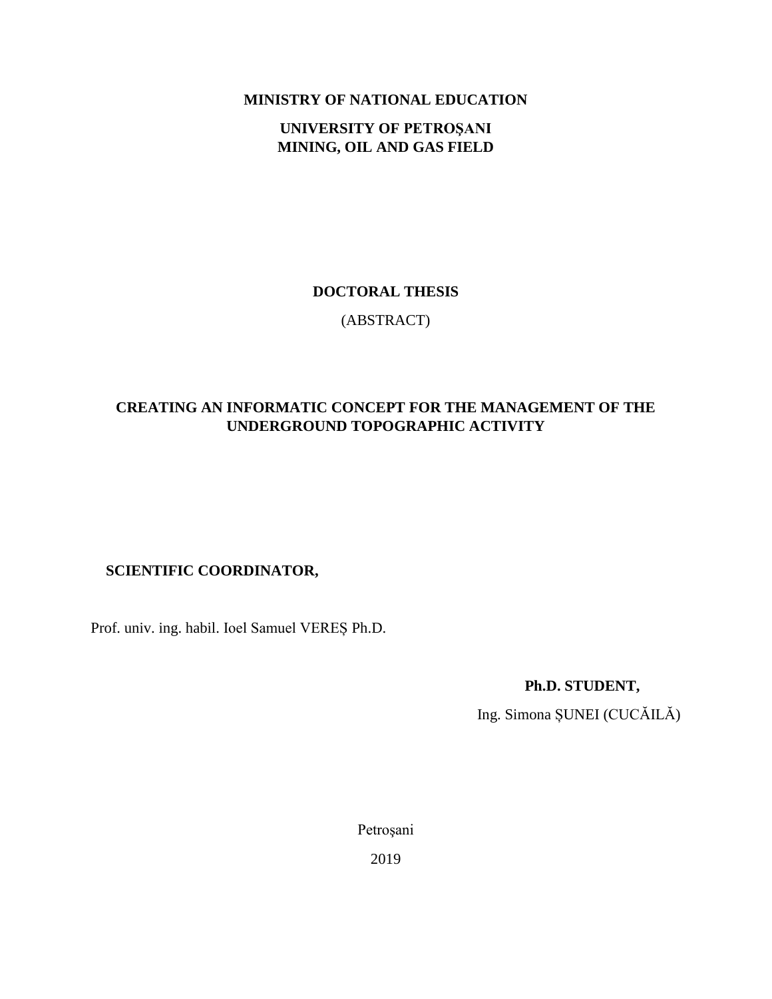**MINISTRY OF NATIONAL EDUCATION**

**UNIVERSITY OF PETROŞANI MINING, OIL AND GAS FIELD**

#### **DOCTORAL THESIS**

(ABSTRACT)

# **CREATING AN INFORMATIC CONCEPT FOR THE MANAGEMENT OF THE UNDERGROUND TOPOGRAPHIC ACTIVITY**

# **SCIENTIFIC COORDINATOR,**

Prof. univ. ing. habil. Ioel Samuel VEREȘ Ph.D.

 **Ph.D. STUDENT,**

Ing. Simona ȘUNEI (CUCĂILĂ)

Petroşani

2019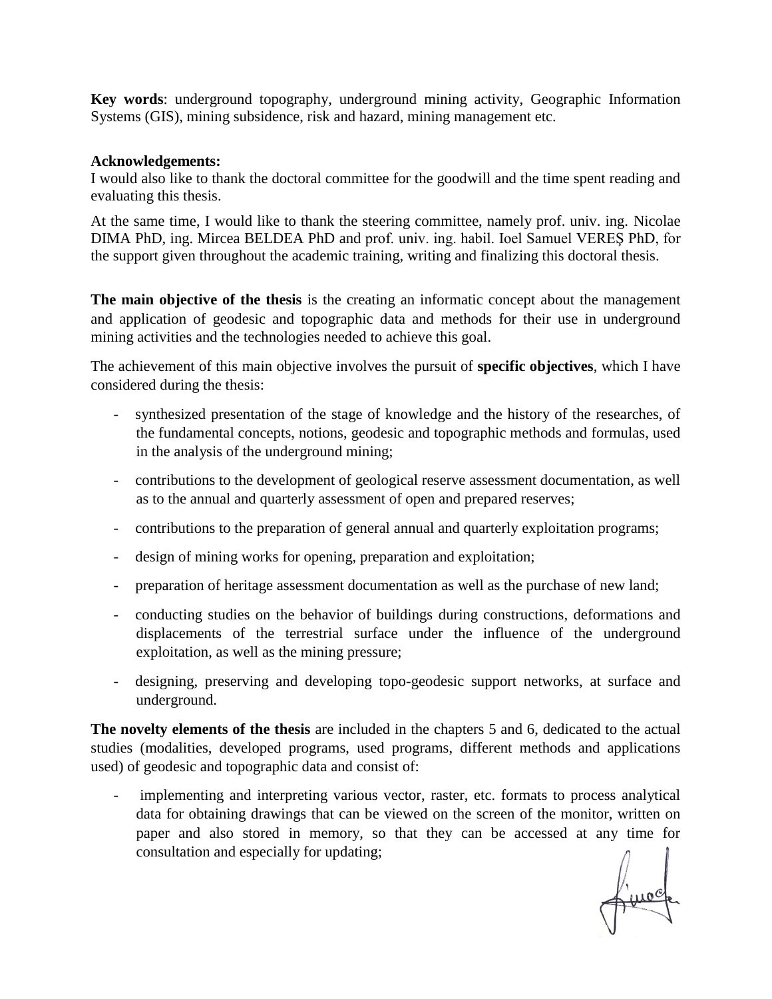**Key words**: underground topography, underground mining activity, Geographic Information Systems (GIS), mining subsidence, risk and hazard, mining management etc.

#### **Acknowledgements:**

I would also like to thank the doctoral committee for the goodwill and the time spent reading and evaluating this thesis.

At the same time, I would like to thank the steering committee, namely prof. univ. ing. Nicolae DIMA PhD, ing. Mircea BELDEA PhD and prof. univ. ing. habil. Ioel Samuel VEREŞ PhD, for the support given throughout the academic training, writing and finalizing this doctoral thesis.

**The main objective of the thesis** is the creating an informatic concept about the management and application of geodesic and topographic data and methods for their use in underground mining activities and the technologies needed to achieve this goal.

The achievement of this main objective involves the pursuit of **specific objectives**, which I have considered during the thesis:

- synthesized presentation of the stage of knowledge and the history of the researches, of the fundamental concepts, notions, geodesic and topographic methods and formulas, used in the analysis of the underground mining;
- contributions to the development of geological reserve assessment documentation, as well as to the annual and quarterly assessment of open and prepared reserves;
- contributions to the preparation of general annual and quarterly exploitation programs;
- design of mining works for opening, preparation and exploitation;
- preparation of heritage assessment documentation as well as the purchase of new land;
- conducting studies on the behavior of buildings during constructions, deformations and displacements of the terrestrial surface under the influence of the underground exploitation, as well as the mining pressure;
- designing, preserving and developing topo-geodesic support networks, at surface and underground.

**The novelty elements of the thesis** are included in the chapters 5 and 6, dedicated to the actual studies (modalities, developed programs, used programs, different methods and applications used) of geodesic and topographic data and consist of:

implementing and interpreting various vector, raster, etc. formats to process analytical data for obtaining drawings that can be viewed on the screen of the monitor, written on paper and also stored in memory, so that they can be accessed at any time for consultation and especially for updating;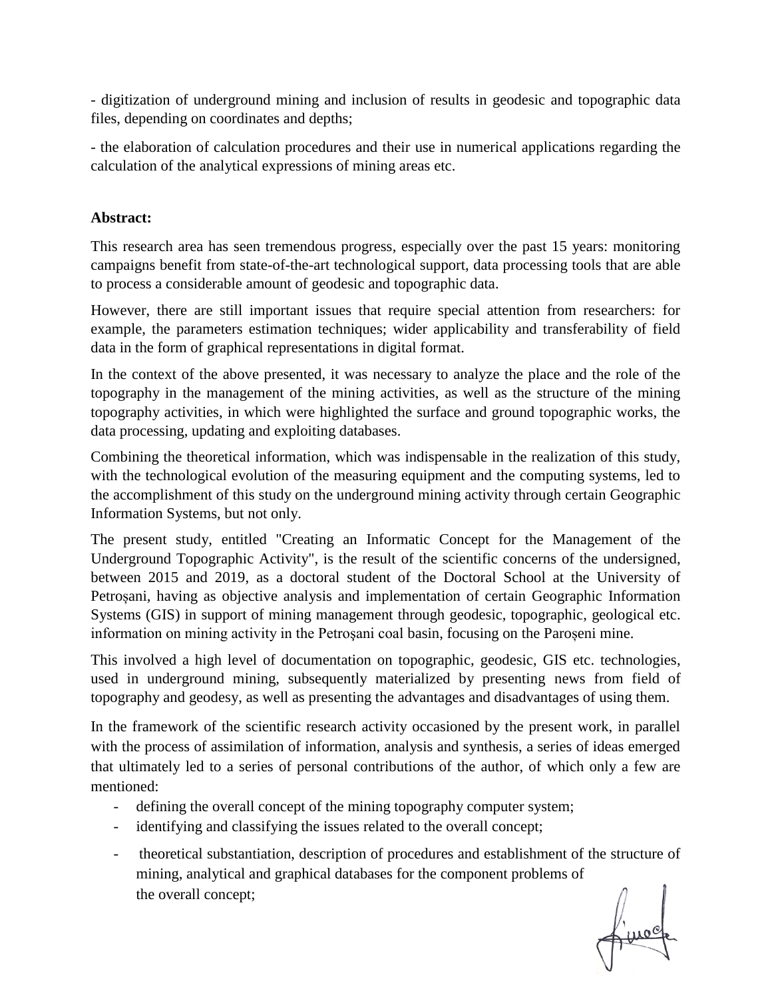- digitization of underground mining and inclusion of results in geodesic and topographic data files, depending on coordinates and depths;

- the elaboration of calculation procedures and their use in numerical applications regarding the calculation of the analytical expressions of mining areas etc.

### **Abstract:**

This research area has seen tremendous progress, especially over the past 15 years: monitoring campaigns benefit from state-of-the-art technological support, data processing tools that are able to process a considerable amount of geodesic and topographic data.

However, there are still important issues that require special attention from researchers: for example, the parameters estimation techniques; wider applicability and transferability of field data in the form of graphical representations in digital format.

In the context of the above presented, it was necessary to analyze the place and the role of the topography in the management of the mining activities, as well as the structure of the mining topography activities, in which were highlighted the surface and ground topographic works, the data processing, updating and exploiting databases.

Combining the theoretical information, which was indispensable in the realization of this study, with the technological evolution of the measuring equipment and the computing systems, led to the accomplishment of this study on the underground mining activity through certain Geographic Information Systems, but not only.

The present study, entitled "Creating an Informatic Concept for the Management of the Underground Topographic Activity", is the result of the scientific concerns of the undersigned, between 2015 and 2019, as a doctoral student of the Doctoral School at the University of Petroșani, having as objective analysis and implementation of certain Geographic Information Systems (GIS) in support of mining management through geodesic, topographic, geological etc. information on mining activity in the Petroşani coal basin, focusing on the Paroșeni mine.

This involved a high level of documentation on topographic, geodesic, GIS etc. technologies, used in underground mining, subsequently materialized by presenting news from field of topography and geodesy, as well as presenting the advantages and disadvantages of using them.

In the framework of the scientific research activity occasioned by the present work, in parallel with the process of assimilation of information, analysis and synthesis, a series of ideas emerged that ultimately led to a series of personal contributions of the author, of which only a few are mentioned:

- defining the overall concept of the mining topography computer system;
- identifying and classifying the issues related to the overall concept;
- theoretical substantiation, description of procedures and establishment of the structure of mining, analytical and graphical databases for the component problems of the overall concept;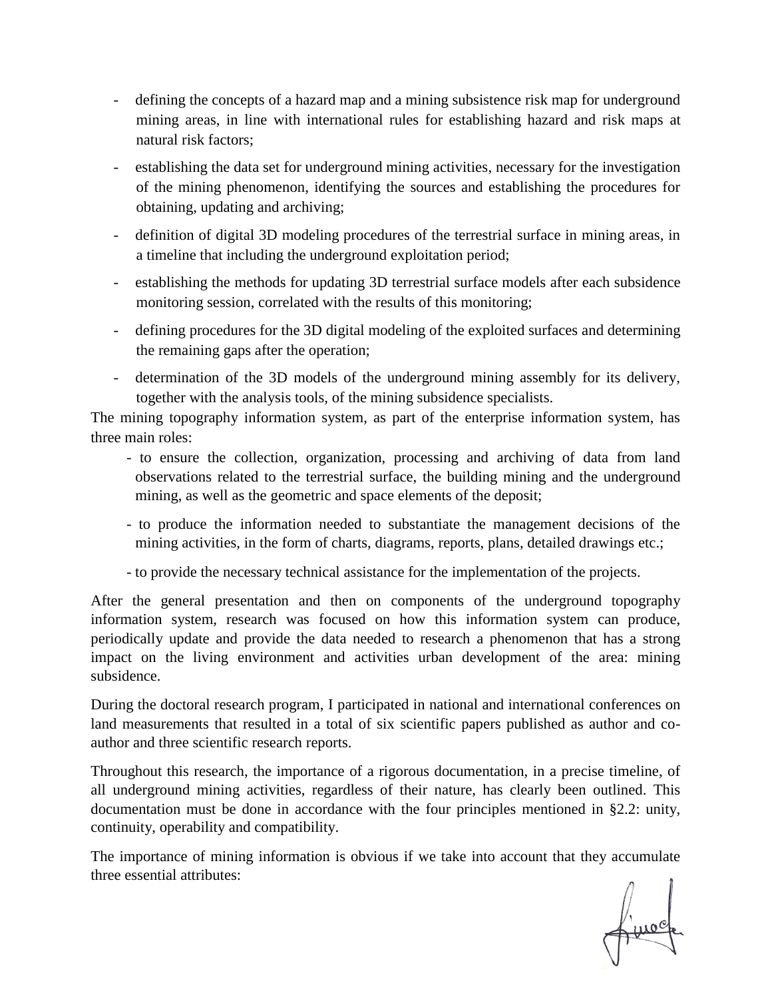- defining the concepts of a hazard map and a mining subsistence risk map for underground mining areas, in line with international rules for establishing hazard and risk maps at natural risk factors;
- establishing the data set for underground mining activities, necessary for the investigation of the mining phenomenon, identifying the sources and establishing the procedures for obtaining, updating and archiving;
- definition of digital 3D modeling procedures of the terrestrial surface in mining areas, in a timeline that including the underground exploitation period;
- establishing the methods for updating 3D terrestrial surface models after each subsidence monitoring session, correlated with the results of this monitoring;
- defining procedures for the 3D digital modeling of the exploited surfaces and determining the remaining gaps after the operation;
- determination of the 3D models of the underground mining assembly for its delivery, together with the analysis tools, of the mining subsidence specialists.

The mining topography information system, as part of the enterprise information system, has three main roles:

- to ensure the collection, organization, processing and archiving of data from land observations related to the terrestrial surface, the building mining and the underground mining, as well as the geometric and space elements of the deposit;
- to produce the information needed to substantiate the management decisions of the mining activities, in the form of charts, diagrams, reports, plans, detailed drawings etc.;
- to provide the necessary technical assistance for the implementation of the projects.

After the general presentation and then on components of the underground topography information system, research was focused on how this information system can produce, periodically update and provide the data needed to research a phenomenon that has a strong impact on the living environment and activities urban development of the area: mining subsidence.

During the doctoral research program, I participated in national and international conferences on land measurements that resulted in a total of six scientific papers published as author and coauthor and three scientific research reports.

Throughout this research, the importance of a rigorous documentation, in a precise timeline, of all underground mining activities, regardless of their nature, has clearly been outlined. This documentation must be done in accordance with the four principles mentioned in §2.2: unity, continuity, operability and compatibility.

The importance of mining information is obvious if we take into account that they accumulate three essential attributes: